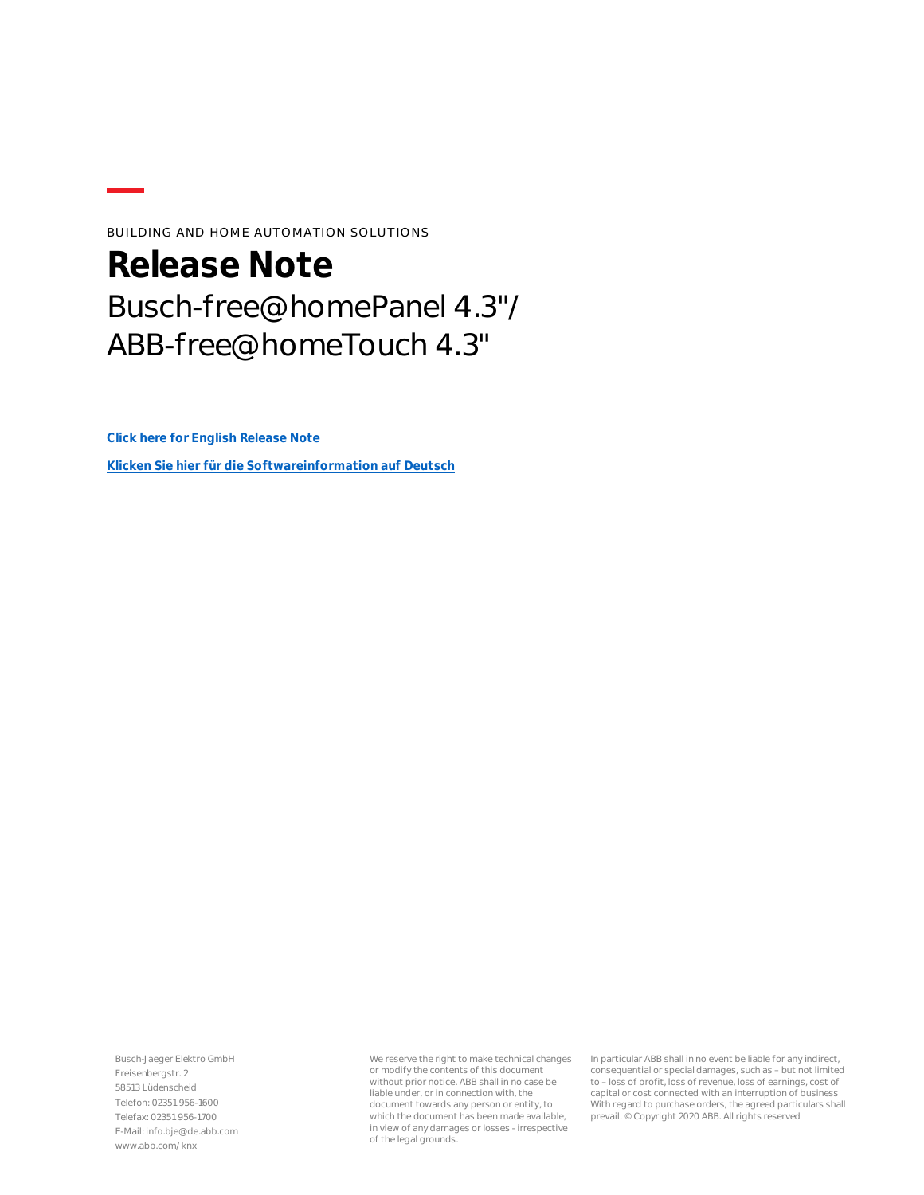BUILDING AND HOME AUTOMATION SOLUTIONS

## **Release Note** Busch-free@homePanel 4.3"/ ABB-free@homeTouch 4.3"

**[Click here for English Release Note](#page-1-0)**

**[Klicken Sie hier für die Softwareinformation auf Deutsch](#page-3-0)**

Busch-Jaeger Elektro GmbH Freisenbergstr. 2 58513 Lüdenscheid Telefon: 02351 956-1600 Telefax: 02351 956-1700 E-Mail: info.bje@de.abb.com www.abb.com/knx

We reserve the right to make technical changes or modify the contents of this document without prior notice. ABB shall in no case be liable under, or in connection with, the document towards any person or entity, to which the document has been made available, in view of any damages or losses - irrespective of the legal grounds.

In particular ABB shall in no event be liable for any indirect, consequential or special damages, such as – but not limited to – loss of profit, loss of revenue, loss of earnings, cost of capital or cost connected with an interruption of business With regard to purchase orders, the agreed particulars shall prevail. © Copyright 2020 ABB. All rights reserved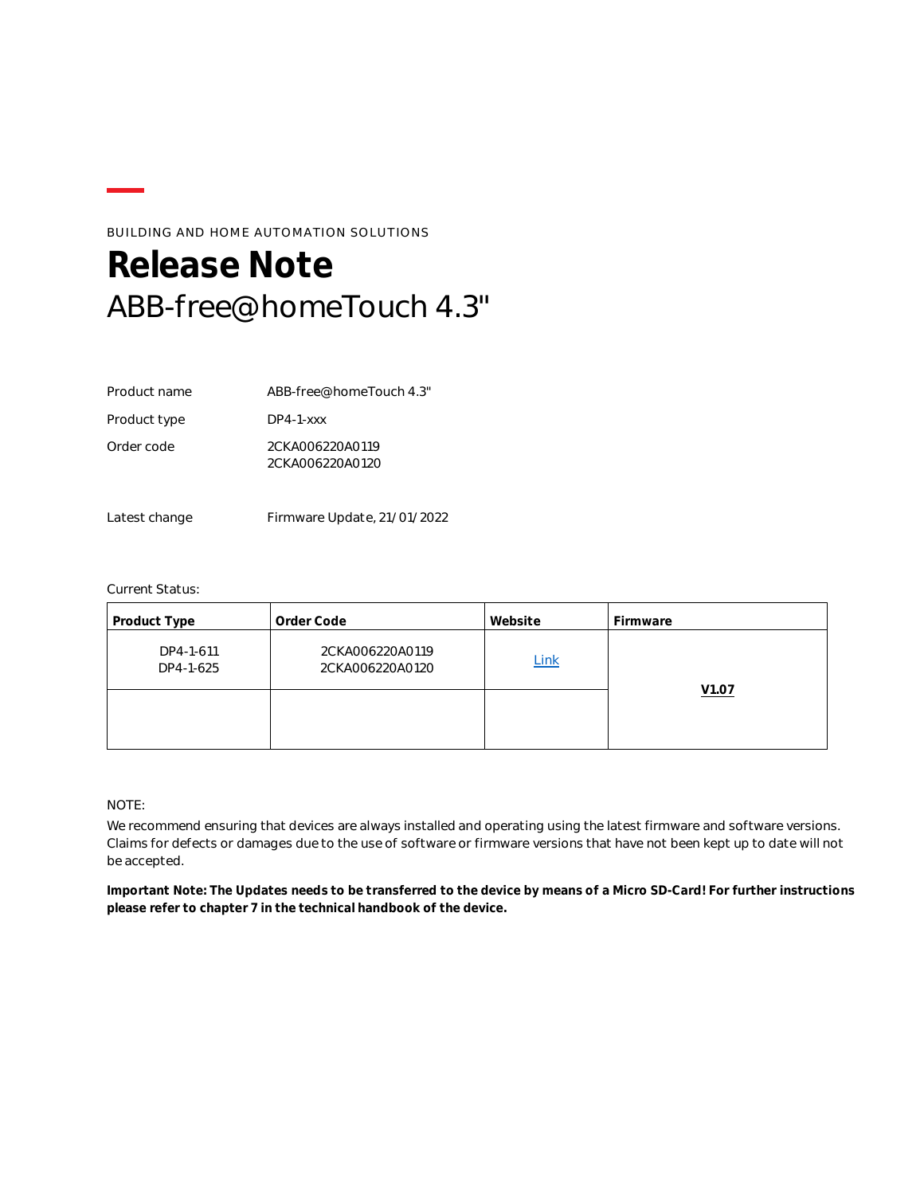### BUILDING AND HOME AUTOMATION SOLUTIONS

## <span id="page-1-0"></span>**Release Note** ABB-free@homeTouch 4.3"

| Product name | ABB-free@homeTouch 4.3"            |
|--------------|------------------------------------|
| Product type | $DP4-1-xxx$                        |
| Order code   | 2CKA006220A0119<br>2CKA006220A0120 |

Latest change Firmware Update, 21/01/2022

#### Current Status:

| Product Type           | Order Code                         | Website | Firmware          |
|------------------------|------------------------------------|---------|-------------------|
| DP4-1-611<br>DP4-1-625 | 2CKA006220A0119<br>2CKA006220A0120 | Link    |                   |
|                        |                                    |         | V <sub>1.07</sub> |

NOTE:

We recommend ensuring that devices are always installed and operating using the latest firmware and software versions. Claims for defects or damages due to the use of software or firmware versions that have not been kept up to date will not be accepted.

**Important Note: The Updates needs to be transferred to the device by means of a Micro SD-Card! For further instructions please refer to chapter 7 in the technical handbook of the device.**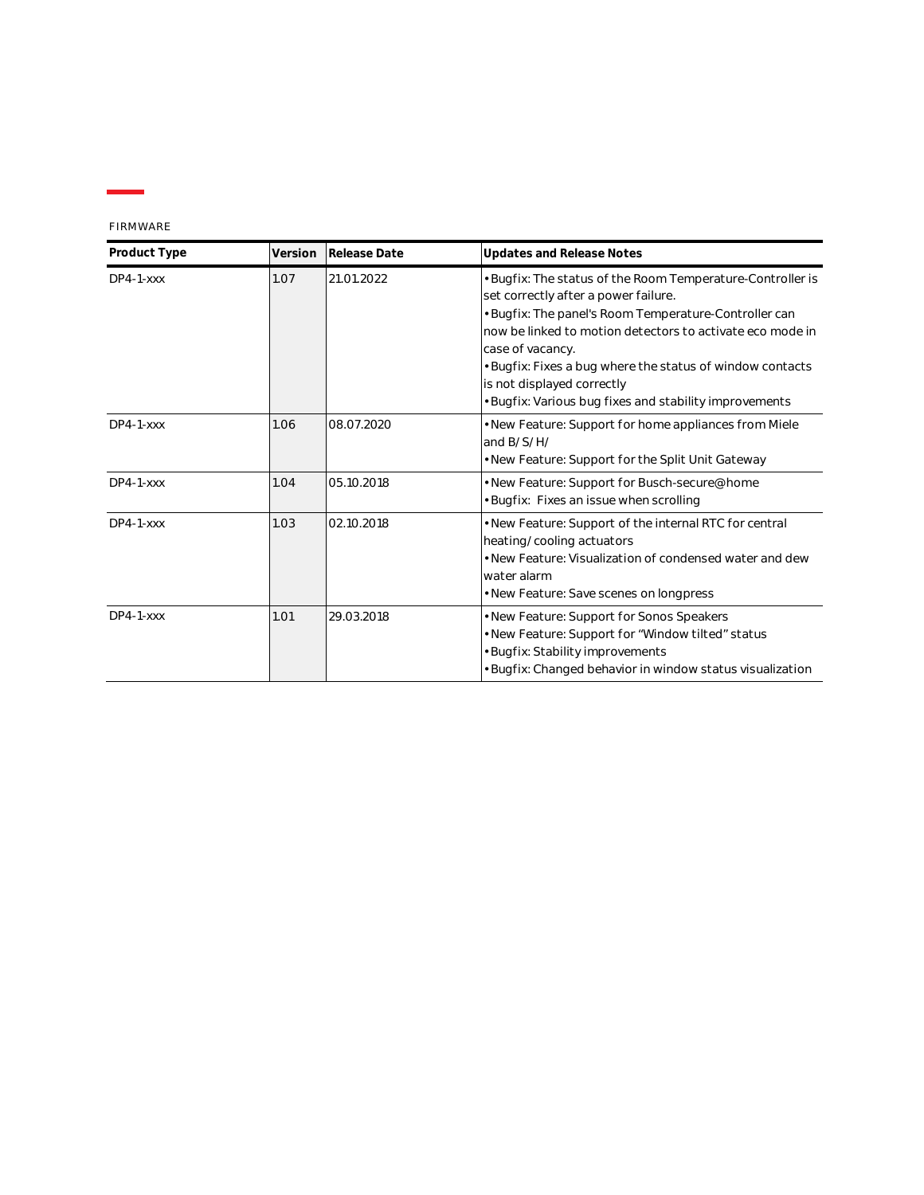FIRMWARE

| Product Type | Version | Release Date | <b>Updates and Release Notes</b>                                                                                                                                                                                                                                                                                                                                                                  |
|--------------|---------|--------------|---------------------------------------------------------------------------------------------------------------------------------------------------------------------------------------------------------------------------------------------------------------------------------------------------------------------------------------------------------------------------------------------------|
| $DP4-1-xxx$  | 1.07    | 21.01.2022   | • Bugfix: The status of the Room Temperature-Controller is<br>set correctly after a power failure.<br>• Bugfix: The panel's Room Temperature-Controller can<br>now be linked to motion detectors to activate eco mode in<br>case of vacancy.<br>• Bugfix: Fixes a bug where the status of window contacts<br>is not displayed correctly<br>· Bugfix: Various bug fixes and stability improvements |
| $DP4-1-XXX$  | 1.06    | 08.07.2020   | • New Feature: Support for home appliances from Miele<br>and B/S/H/<br>• New Feature: Support for the Split Unit Gateway                                                                                                                                                                                                                                                                          |
| $DP4-1-XXX$  | 1.04    | 05.10.2018   | • New Feature: Support for Busch-secure@home<br>· Bugfix: Fixes an issue when scrolling                                                                                                                                                                                                                                                                                                           |
| $DP4-1-xxx$  | 1.03    | 02.10.2018   | • New Feature: Support of the internal RTC for central<br>heating/cooling actuators<br>• New Feature: Visualization of condensed water and dew<br>water alarm<br>• New Feature: Save scenes on longpress                                                                                                                                                                                          |
| $DP4-1-xxxx$ | 1.01    | 29.03.2018   | • New Feature: Support for Sonos Speakers<br>. New Feature: Support for "Window tilted" status<br>• Bugfix: Stability improvements<br>• Bugfix: Changed behavior in window status visualization                                                                                                                                                                                                   |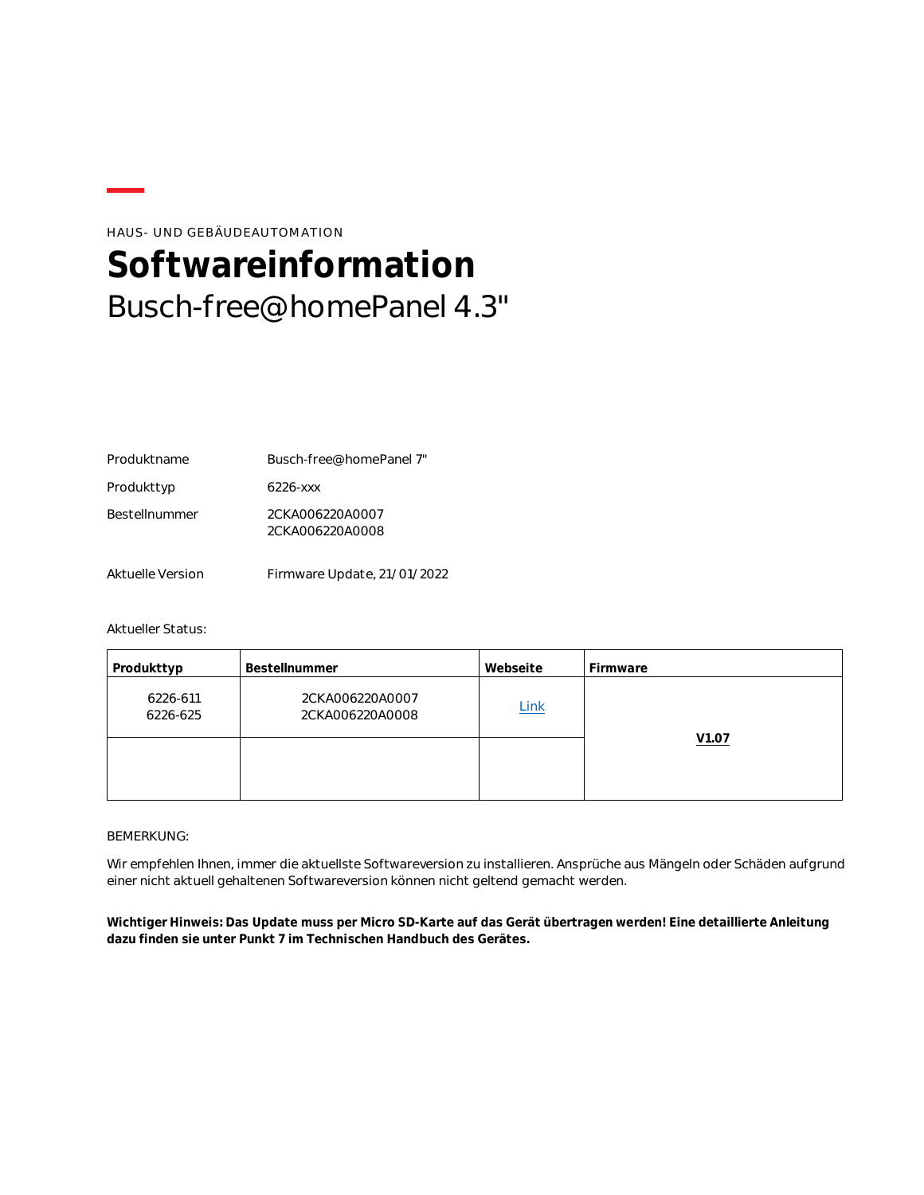#### HAUS- UND GEBÄUDEAUTOMATION

# <span id="page-3-0"></span>**Softwareinformation** Busch-free@homePanel 4.3"

| Produktname          | Busch-free@homePanel 7"            |
|----------------------|------------------------------------|
| Produkttyp           | 6226-xxx                           |
| <b>Bestellnummer</b> | 2CKA006220A0007<br>2CKA006220A0008 |
| Aktuelle Version     | Firmware Update, 21/01/2022        |

#### Aktueller Status:

| Produkttyp           | Bestellnummer                      | Webseite    | Firmware |
|----------------------|------------------------------------|-------------|----------|
| 6226-611<br>6226-625 | 2CKA006220A0007<br>2CKA006220A0008 | <b>Link</b> |          |
|                      |                                    |             | V1.07    |

#### BEMERKUNG:

Wir empfehlen Ihnen, immer die aktuellste Softwareversion zu installieren. Ansprüche aus Mängeln oder Schäden aufgrund einer nicht aktuell gehaltenen Softwareversion können nicht geltend gemacht werden.

**Wichtiger Hinweis: Das Update muss per Micro SD-Karte auf das Gerät übertragen werden! Eine detaillierte Anleitung dazu finden sie unter Punkt 7 im Technischen Handbuch des Gerätes.**